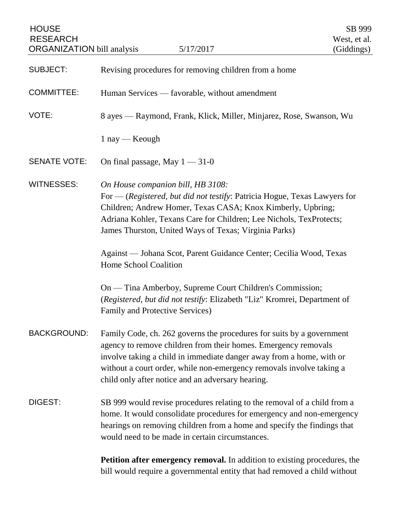| <b>HOUSE</b><br><b>RESEARCH</b><br><b>ORGANIZATION</b> bill analysis | 5/17/2017                                                                                                                                                                                                                                                                                                                                    | SB 999<br>West, et al.<br>(Giddings) |
|----------------------------------------------------------------------|----------------------------------------------------------------------------------------------------------------------------------------------------------------------------------------------------------------------------------------------------------------------------------------------------------------------------------------------|--------------------------------------|
| <b>SUBJECT:</b>                                                      | Revising procedures for removing children from a home                                                                                                                                                                                                                                                                                        |                                      |
| <b>COMMITTEE:</b>                                                    | Human Services — favorable, without amendment                                                                                                                                                                                                                                                                                                |                                      |
| VOTE:                                                                | 8 ayes — Raymond, Frank, Klick, Miller, Minjarez, Rose, Swanson, Wu                                                                                                                                                                                                                                                                          |                                      |
|                                                                      | $1$ nay — Keough                                                                                                                                                                                                                                                                                                                             |                                      |
| <b>SENATE VOTE:</b>                                                  | On final passage, May $1 - 31 - 0$                                                                                                                                                                                                                                                                                                           |                                      |
| <b>WITNESSES:</b>                                                    | On House companion bill, HB 3108:<br>For — (Registered, but did not testify: Patricia Hogue, Texas Lawyers for<br>Children; Andrew Homer, Texas CASA; Knox Kimberly, Upbring;<br>Adriana Kohler, Texans Care for Children; Lee Nichols, TexProtects;<br>James Thurston, United Ways of Texas; Virginia Parks)                                |                                      |
|                                                                      | Against - Johana Scot, Parent Guidance Center; Cecilia Wood, Texas<br>Home School Coalition                                                                                                                                                                                                                                                  |                                      |
|                                                                      | On — Tina Amberboy, Supreme Court Children's Commission;<br>(Registered, but did not testify: Elizabeth "Liz" Kromrei, Department of<br>Family and Protective Services)                                                                                                                                                                      |                                      |
| <b>BACKGROUND:</b>                                                   | Family Code, ch. 262 governs the procedures for suits by a government<br>agency to remove children from their homes. Emergency removals<br>involve taking a child in immediate danger away from a home, with or<br>without a court order, while non-emergency removals involve taking a<br>child only after notice and an adversary hearing. |                                      |
| DIGEST:                                                              | SB 999 would revise procedures relating to the removal of a child from a<br>home. It would consolidate procedures for emergency and non-emergency<br>hearings on removing children from a home and specify the findings that<br>would need to be made in certain circumstances.                                                              |                                      |
|                                                                      | <b>Petition after emergency removal.</b> In addition to existing procedures, the<br>bill would require a governmental entity that had removed a child without                                                                                                                                                                                |                                      |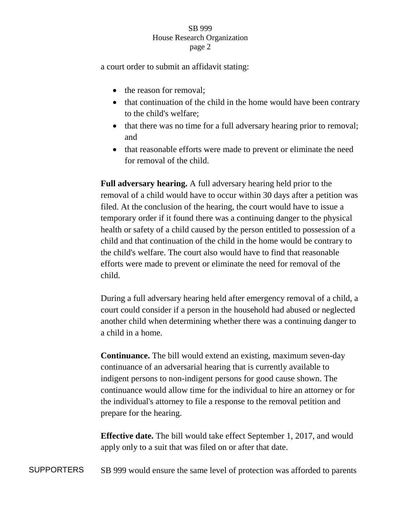## SB 999 House Research Organization page 2

a court order to submit an affidavit stating:

- the reason for removal:
- that continuation of the child in the home would have been contrary to the child's welfare;
- that there was no time for a full adversary hearing prior to removal; and
- that reasonable efforts were made to prevent or eliminate the need for removal of the child.

**Full adversary hearing.** A full adversary hearing held prior to the removal of a child would have to occur within 30 days after a petition was filed. At the conclusion of the hearing, the court would have to issue a temporary order if it found there was a continuing danger to the physical health or safety of a child caused by the person entitled to possession of a child and that continuation of the child in the home would be contrary to the child's welfare. The court also would have to find that reasonable efforts were made to prevent or eliminate the need for removal of the child.

During a full adversary hearing held after emergency removal of a child, a court could consider if a person in the household had abused or neglected another child when determining whether there was a continuing danger to a child in a home.

**Continuance.** The bill would extend an existing, maximum seven-day continuance of an adversarial hearing that is currently available to indigent persons to non-indigent persons for good cause shown. The continuance would allow time for the individual to hire an attorney or for the individual's attorney to file a response to the removal petition and prepare for the hearing.

**Effective date.** The bill would take effect September 1, 2017, and would apply only to a suit that was filed on or after that date.

SUPPORTERS SB 999 would ensure the same level of protection was afforded to parents